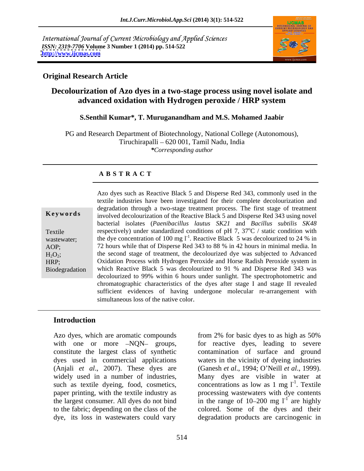International Journal of Current Microbiology and Applied Sciences *ISSN: 2319-7706* **Volume 3 Number 1 (2014) pp. 514-522 <http://www.ijcmas.com>**



### **Original Research Article**

## **Decolourization of Azo dyes in a two-stage process using novel isolate and advanced oxidation with Hydrogen peroxide / HRP system**

#### **S.Senthil Kumar\*, T. Muruganandham and M.S. Mohamed Jaabir**

PG and Research Department of Biotechnology, National College (Autonomous), Tiruchirapalli 620 001, Tamil Nadu, India *\*Corresponding author*

### **A B S T R A C T**

| Keywords       |
|----------------|
| Textile        |
| wastewater:    |
| AOP:           |
| $H_2O_2$ ;     |
| HRP:           |
| Biodegradation |
|                |

**Keywords** involved decolourization of the Reactive Black 5 and Disperse Red 343 using novel Textile respectively) under standardized conditions of pH 7,  $37^{\circ}$ C / static condition with wastewater; the dye concentration of 100 mg  $1^{-1}$ . Reactive Black 5 was decolourized to 24 % in AOP; 72 hours while that of Disperse Red 343 to 88 % in 42 hours in minimal media. In  $H_2O_2$ ; the second stage of treatment, the decolourized dye was subjected to Advanced HRP; Oxidation Process with Hydrogen Peroxide and Horse Radish Peroxide system in Biodegradation which Reactive Black 5 was decolourized to 91 % and Disperse Red 343 was Azo dyes such as Reactive Black 5 and Disperse Red 343, commonly used in the textile industries have been investigated for their complete decolourization and degradation through a two-stage treatment process. The first stage of treatment bacterial isolates (*Paenibacillus lautus SK21* and *Bacillus subtilis SK48*  $\rm{^{\circ}C}$  / static condition with decolourized to 99% within 6 hours under sunlight. The spectrophotometric and chromatographic characteristics of the dyes after stage I and stage II revealed sufficient evidences of having undergone molecular re-arrangement with simultaneous loss of the native color.

### **Introduction**

Azo dyes, which are aromatic compounds from 2% for basic dyes to as high as 50% such as textile dyeing, food, cosmetics,

with one or more -NQN- groups, for reactive dyes, leading to severe constitute the largest class of synthetic contamination of surface and ground dyes used in commercial applications waters in the vicinity of dyeing industries (Anjali *et al*., 2007). These dyes are (Ganesh *et al*., 1994; O Neill *et al*., 1999). widely used in a number of industries, Many dyes are visible in water at paper printing, with the textile industry as processing wastewaters with dye contents the largest consumer. All dyes do not bind  $\frac{1}{2}$  in the range of 10–200 mg  $1^{-1}$  are highly to the fabric; depending on the class of the colored. Some of the dyes and their dye, its loss in wastewaters could vary degradation products are carcinogenic in from 2% for basic dyes to as high as 50% concentrations as low as 1 mg  $l^{-1}$ . Textile . Textile are highly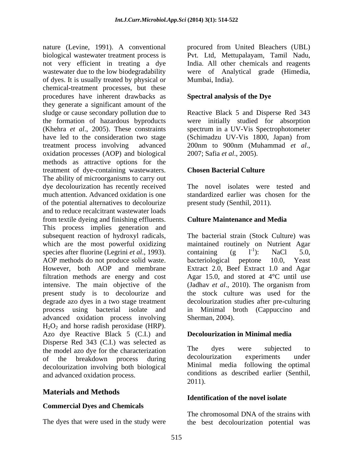nature (Levine, 1991). A conventional procured from United Bleachers (UBL) biological wastewater treatment process is Pvt. Ltd, Mettupalayam, Tamil Nadu, not very efficient in treating a dye wastewater due to the low biodegradability were of Analytical grade (Himedia, of dyes. It is usually treated by physical or chemical-treatment processes, but these procedures have inherent drawbacks as they generate a significant amount of the sludge or cause secondary pollution due to Reactive Black 5 and Disperse Red 343 the formation of hazardous byproducts (Khehra *et al*., 2005). These constraints spectrum in a UV-Vis Spectrophotometer have led to the consideration two stage (Schimadzu UV-Vis 1800, Japan) from treatment process involving advanced 200nm to 900nm (Muhammad *et al.*, oxidation processes (AOP) and biological 2007; Safia et al., 2005). methods as attractive options for the treatment of dye-containing wastewaters. The ability of microorganisms to carry out dye decolourization has recently received much attention. Advanced oxidation is one standardized earlier was chosen for the of the potential alternatives to decolourize and to reduce recalcitrant wastewater loads from textile dyeing and finishing effluents. This process implies generation and subsequent reaction of hydroxyl radicals, The bacterial strain (Stock Culture) was which are the most powerful oxidizing species after fluorine (Legrini *et al.*, 1993). containing (g 1<sup>-1</sup>): NaCl 5.0, AOP methods do not produce solid waste. bacteriological peptone 10.0, Yeast However, both AOP and membrane Extract 2.0, Beef Extract 1.0 and Agar filtration methods are energy and cost Agar 15.0, and stored at 4°C until use intensive. The main objective of the (Jadhav et al., 2010). The organism from present study is to decolourize and degrade azo dyes in a two stage treatment decolourization studies after pre-culturing process using bacterial isolate and in Minimal broth (Cappuccino and advanced oxidation process involving  $H<sub>2</sub>O<sub>2</sub>$  and horse radish peroxidase (HRP). Azo dye Reactive Black 5 (C.I.) and Disperse Red 343 (C.I.) was selected as<br>the model azo dve for the characterization. The dves were subjected to the model azo dye for the characterization<br>of the breakdown process during decolourization experiments under of the breakdown process during decolourization experiments under decolourization involving both biological and advanced oxidation process. Conditional conditional condition of  $2011$ .

### **Materials and Methods**

#### **Commercial Dyes and Chemicals**

The dyes that were used in the study were

India. All other chemicals and reagents Mumbai, India).

#### **Spectral analysis of the Dye**

were initially studied for absorption (Schimadzu UV-Vis 1800, Japan) from 200nm to 900nm (Muhammad *et al*., 2007; Safia *et al*., 2005).

#### **Chosen Bacterial Culture**

The novel isolates were tested and present study (Senthil, 2011).

#### **Culture Maintenance and Media**

maintained routinely on Nutrient Agar containing  $(g \t l^{-1})$ : NaCl 5.0, ): NaCl 5.0, (Jadhav *et al.*, 2010). The organism from the stock culture was used for the Sherman, 2004).

#### **Decolourization in Minimal media**

The dyes were subjected to decolourization experiments under Minimal media following the optimal conditions as described earlier (Senthil, 2011).

#### **Identification of the novel isolate**

The chromosomal DNA of the strains with the best decolourization potential was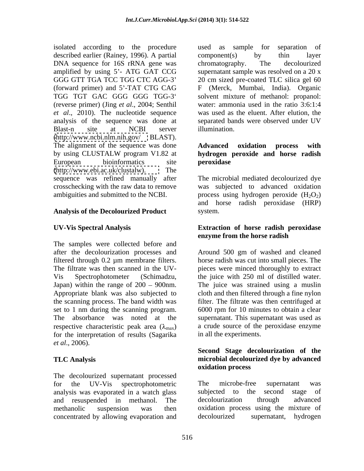isolated according to the procedure used as sample for separation of described earlier (Rainey, 1996). A partial component (s) by thin layer DNA sequence for 16S rRNA gene was chromatography. The decolourized (forward primer) and 5 -TAT CTG CAG (reverse primer) (Jing *et al*., 2004; Senthil *et al*., 2010). The nucleotide sequence Blast-n site at NCBI server illumination. [\(http://www.ncbi.nlm.nih.gov/](http://www.ncbi.nlm.nih.gov/) BLAST). The alignment of the sequence was done **Advanced** oxidation process with by using CLUSTALW program V1.82 at **hydrogen peroxide and horse radish** European bioinformatics site **peroxidase** [\(http://www.ebi.ac.uk/clustalw\).](http://www.ebi.ac.uk/clustalw) The sequence was refined manually after crosschecking with the raw data to remove

#### **Analysis of the Decolourized Product**

The samples were collected before and after the decolourization processes and Around 500 gm of washed and cleaned filtered through 0.2 µm membrane filters. The filtrate was then scanned in the UV- pieces were minced thoroughly to extract Vis Spectrophotometer (Schimadzu, the juice with 250 ml of distilled water. Japan) within the range of 200 – 900nm. The juice was strained using a muslin Appropriate blank was also subjected to cloth and then filtered through a fine nylon the scanning process. The band width was filter. The filtrate was then centrifuged at set to 1 nm during the scanning program. 6000 rpm for 10 minutes to obtain a clear The absorbance was noted at the supernatant. This supernatant was used as respective characteristic peak area  $(\lambda_{\text{max}})$ for the interpretation of results (Sagarika *et al*., 2006).

The decolourized supernatant processed analysis was evaporated in a watch glass and resuspended in methanol. The concentrated by allowing evaporation and

amplified by using 5'- ATG GAT CCG supernatant sample was resolved on a 20 x GGG GTT TGA TCC TGG CTC AGG-3 20 cm sized pre-coated TLC silica gel 60 TGG TGT GAC GGG GGG TGG-3 solvent mixture of methanol: propanol: analysis of the sequence was done at separated bands were observed under UV used as sample for separation of component(s) by thin layer chromatography. The decolourized F (Merck, Mumbai, India). Organic water: ammonia used in the ratio 3:6:1:4 was used as the eluent. After elution, the illumination.

### **Advanced oxidation process with hydrogen peroxide and horse radish peroxidase**

ambiguities and submitted to the NCBI.  $\qquad \qquad$  process using hydrogen peroxide  $(H_2O_2)$ The microbial mediated decolourized dye was subjected to advanced oxidation and horse radish peroxidase (HRP) system.

#### **UV-Vis Spectral Analysis Extraction of horse radish peroxidase enzyme from the horse radish**

horse radish was cut into small pieces. The a crude source of the peroxidase enzyme in all the experiments.

#### **TLC Analysis microbial decolourized dye by advanced Second Stage decolourization of the oxidation process**

for the UV-Vis spectrophotometric The microbe-free supernatant was methanolic suspension was then oxidation process using the mixture of The microbe-free supernatant was subjected to the second stage of decolourization through advanced decolourized supernatant, hydrogen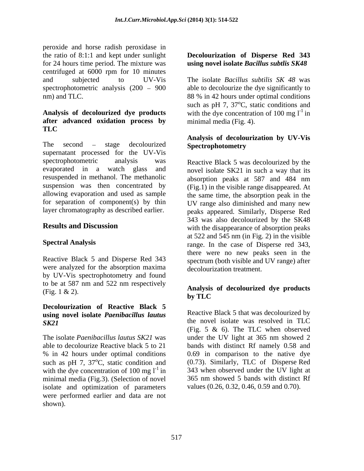peroxide and horse radish peroxidase in the ratio of 8:1:1 and kept under sunlight **Decolourization of Disperse Red 343** for 24 hours time period. The mixture was **using novel isolate** *Bacillus subtlis SK48* centrifuged at 6000 rpm for 10 minutes and subjected to UV-Vis The isolate *Bacillus subtilis SK 48* was spectrophotometric analysis  $(200 - 900)$ nm) and TLC. 88 % in 42 hours under optimal conditions

# **after advanced oxidation process by TLC**

The second – stage decolourized **Spectrophotometry** supernatant processed for the UV-Vis spectrophotometric analysis was Reactive Black 5 was decolourized by the evaporated in a watch glass and novel isolate SK21 in such a way that its resuspended in methanol. The methanolic absorption peaks at 587 and 484 nm suspension was then concentrated by allowing evaporation and used as sample the same time, the absorption peak in the for separation of component(s) by thin UV range also diminished and many new

were analyzed for the absorption maxima by UV-Vis spectrophotometry and found to be at 587 nm and 522 nm respectively

## **Decolourization of Reactive Black 5 using novel isolate** *Paenibacillus lautus*

such as pH 7,  $37^{\circ}$ C, static condition and with the dye concentration of 100 mg  $l^{-1}$  in minimal media (Fig.3). (Selection of novel isolate and optimization of parameters were performed earlier and data are not shown).

**Analysis of decolourized dye products** with the dye concentration of 100 mg  $I^{-1}$  in able to decolourize the dye significantly to such as pH 7,  $37^{\circ}$ C, static conditions and minimal media (Fig. 4).

### **Analysis of decolourization by UV-Vis Spectrophotometry**

layer chromatography as described earlier. peaks appeared. Similarly, Disperse Red **Results and Discussion** with the disappearance of absorption peaks **Spectral Analysis** range. In the case of Disperse red 343, Reactive Black 5 and Disperse Red 343 spectrum (both visible and UV range) after absorption peaks at 587 and 484 nm (Fig.1) in the visible range disappeared. At 343 was also decolourized by the SK48 at 522 and 545 nm (in Fig. 2) in the visible there were no new peaks seen in the decolourization treatment.

### (Fig. 1 & 2). **Analysis of decolourized dye products by TLC**

*SK21*the novel isolate was resolved in TLC The isolate *Paenibacillus lautus SK21* was under the UV light at 365 nm showed 2 able to decolourize Reactive black 5 to 21 bands with distinct Rf namely 0.58 and % in 42 hours under optimal conditions 0.69 in comparison to the native dye Reactive Black 5 that was decolourized by (Fig. 5 & 6). The TLC when observed (0.73). Similarly, TLC of Disperse Red 343 when observed under the UV light at 365 nm showed 5 bands with distinct Rf values (0.26, 0.32, 0.46, 0.59 and 0.70).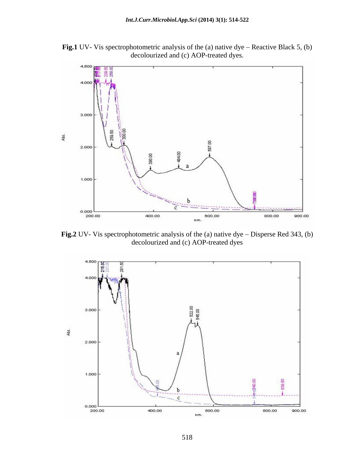

**Fig.1** UV- Vis spectrophotometric analysis of the (a) native dye  $-$  Reactive Black 5, (b) decolourized and (c) AOP-treated dyes.

**Fig.2** UV- Vis spectrophotometric analysis of the (a) native dye  $-$  Disperse Red 343, (b) decolourized and (c) AOP-treated dyes

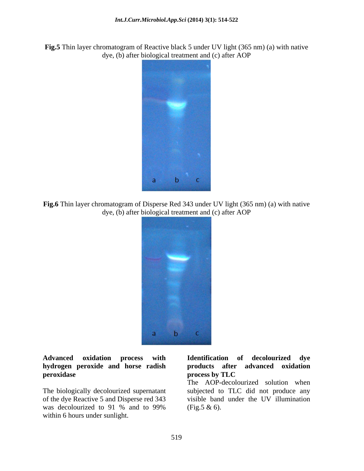**Fig.5** Thin layer chromatogram of Reactive black 5 under UV light (365 nm) (a) with native dye, (b) after biological treatment and (c) after AOP



**Fig.6** Thin layer chromatogram of Disperse Red 343 under UV light (365 nm) (a) with native dye, (b) after biological treatment and (c) after AOP



## **hydrogen peroxide and horse radish Peroxidase the contract of the contract of the contract of the process by TLC**

of the dye Reactive 5 and Disperse red 343 was decolourized to 91 % and to 99% (Fig.5  $\&$  6). within 6 hours under sunlight.

#### **Advanced oxidation process with Identification of decolourized dye products after advanced oxidation process by TLC**

The biologically decolourized supernatant subjected to TLC did not produce any The AOP-decolourized solution when visible band under the UV illumination (Fig.5 & 6).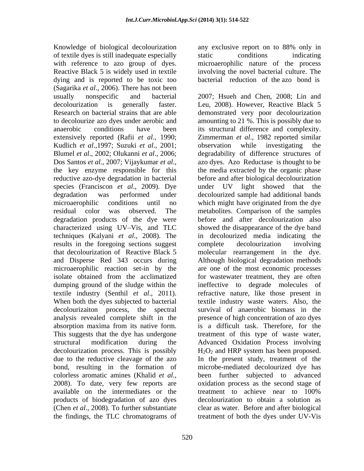Knowledge of biological decolourization any exclusive report on to 88% only in of textile dyes is still inadequate especially with reference to azo group of dyes. microaerophilic nature of the process Reactive Black 5 is widely used in textile involving the novel bacterial culture. The dying and is reported to be toxic too (Sagarika *et al*., 2006). There has not been usually nonspecific and bacterial 2007; Hsueh and Chen, 2008; Lin and Kudlich *et al*.,1997; Suzuki *et al*., 2001; species (Franciscon *et al*., 2009). Dye results in the foregoing sections suggest complete decolourization involving bond, resulting in the formation of available on the intermediates or the treatment to achieve near to 100%

any exclusive report on to 88% only in static conditions indicating bacterial reduction of the azo bond is

decolourization is generally faster. Leu, 2008). However, Reactive Black 5 Research on bacterial strains that are able demonstrated very poor decolourization to decolourize azo dyes under aerobic and amounting to 21 %. This is possibly due to anaerobic conditions have been its structural difference and complexity. extensively reported (Rafii *et al*., 1990; Zimmerman *et al*., 1982 reported similar Blumel *et al*., 2002; Olukanni *et al*., 2006; degradability of difference structures of usually nonspecific and bacterial 2007; Hsueh and Chen, 2008; Lin and<br>decolourization is generally faster. Leu, 2008). However, Reactive Black 5<br>Research on bacterial strains that are able<br>to decolourize azo dyes under aer observation while investigating the azo dyes. Azo Reductase is thought to be the key enzyme responsible for this the media extracted by the organic phase reductive azo-dye degradation in bacterial before and after biological decolourization degradation was performed under decolourized sample had additional bands microaerophilic conditions until no which might have originated from the dye residual color was observed. The metabolites. Comparison of the samples degradation products of the dye were before and after decolourization also characterized using UV-Vis, and TLC showed the disappearance of the dye band techniques (Kalyani *et al*., 2008). The in decolourized media indicating the that decolourization of Reactive Black 5 molecular rearrangement in the dye. and Disperse Red 343 occurs during Although biological degradation methods microaerophilic reaction set-in by the are one of the most economic processes isolate obtained from the acclimatized for wastewater treatment, they are often dumping ground of the sludge within the ineffective to degrade molecules of textile industry (Senthil *et al*., 2011). refractive nature, like those present in When both the dyes subjected to bacterial textile industry waste waters. Also, the decolourizaiton process, the spectral survival of anaerobic biomass in the analysis revealed complete shift in the presence of high concentration of azo dyes absorption maxima from its native form. is a difficult task. Therefore, for the This suggests that the dye has undergone treatment of this type of waste water, structural modification during the Advanced Oxidation Process involving decolourization process. This is possibly  $H_2O_2$  and HRP system has been proposed. due to the reductive cleavage of the azo In the present study, treatment of the colorless aromatic amines (Khalid *et al*., been further subjected to advanced 2008). To date, very few reports are oxidation process as the second stage of products of biodegradation of azo dyes decolourization to obtain a solution as (Chen *et al*., 2008). To further substantiate clear as water. Before and after biological the findings, the TLC chromatograms of treatment of both the dyes under UV-Vis under UV light showed that the complete decolourization involving microbe-mediated decolourized dye has been further subjected to advanced oxidation process as the second stage of treatment to achieve near to 100%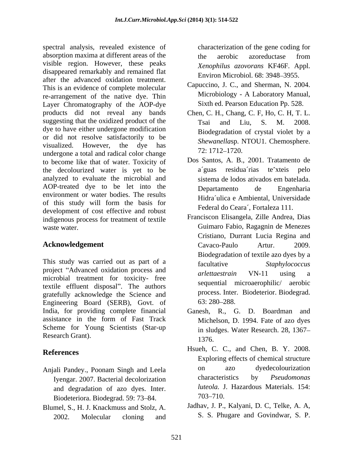spectral analysis, revealed existence of absorption maxima at different areas of the the aerobic azoreductase from visible region. However, these peaks disappeared remarkably and remained flat after the advanced oxidation treatment. This is an evidence of complete molecular re-arrangement of the native dye. Thin Layer Chromatography of the AOP-dye products did not reveal any bands Chen, C. H., Chang, C. F, Ho, C. H, T. L. suggesting that the oxidized product of the Tsai and Liu, S. M. 2008. dye to have either undergone modification or did not resolve satisfactorily to be visualized. However, the dye has  $5.1512, 4722, 4732$ undergone a total and radical color change and the mass and radical color change and the mass and the value of  $\frac{1}{2}$ . to become like that of water. Toxicity of the decolourized water is yet to be analyzed to evaluate the microbial and AOP-treated dye to be let into the Departamento de Engenharia environment or water bodies. The results of this study will form the basis for development of cost effective and robust indigenous process for treatment of textile

This study was carried out as part of a facultative Staphylococcus project "Advanced oxidation process and *arlettaestrain* VN-11 using a microbial treatment for toxicity- free textile effluent disposal". The authors gratefully acknowledge the Science and process Inter<br>Engineering Board (SERB) Govt of 63:280–288. Engineering Board (SERB), Govt. of India, for providing complete financial Ganesh, R., G. D. Boardman and assistance in the form of Fast Track Scheme for Young Scientists (Star-up Research Grant). 1376.

- and degradation of azo dyes. Inter. Biodeteriora. Biodegrad. 59: 73–84. <sup>703–710.</sup>
- Blumel, S., H. J. Knackmuss and Stolz, A. 2002. Molecular cloning and S. S. Phugare and Govindwar, S. P.

characterization of the gene coding for the aerobic azoreductase from *Xenophilus azovorans* KF46F. Appl. Environ Microbiol. 68: 3948–3955.

- Capuccino, J. C., and Sherman, N. 2004. Microbiology - A Laboratory Manual, Sixth ed. Pearson Education Pp. 528.
- Tsai and Liu, S. M. 2008. Biodegradation of crystal violet by a *Shewanella*sp. NTOU1. Chemosphere. 72: 1712–1720.
- Dos Santos, A. B., 2001. Tratamento de a´guas residua´rias te xteis pelo sistema de lodos ativados em batelada. Departamento de Engenharia Hidra´ulica e Ambiental, Universidade Federal do Ceara´, Fortaleza 111.
- waste water. Guimaro Fabio, Ragagnin de Menezes **Acknowledgement** Cavaco-Paulo Artur. 2009. Franciscon Elisangela, Zille Andrea, Dias Cristiano, Durrant Lucia Regina and Cavaco-Paulo Artur. 2009. Biodegradation of textile azo dyes by a facultative *Staphylococcus arlettaestrain* VN-11 using a sequential microaerophilic/ aerobic process. Inter. Biodeterior. Biodegrad. 63: 280 288.
	- Michelson, D. 1994. Fate of azo dyes in sludges. Water Research. 28, 1367 1376.
- **References** Hsueh, C. C., and Chen, B. Y. 2008. Anjali Pandey., Poonam Singh and Leela on azo dyedecolourization Iyengar. 2007. Bacterial decolorization characteristics by *Pseudomonas* Exploring effects of chemical structure on azo dyedecolourization characteristics by *Pseudomonas luteola.* J. Hazardous Materials. 154:  $703 - 710.$ 
	- Jadhav, J. P., Kalyani, D. C, Telke, A. A,